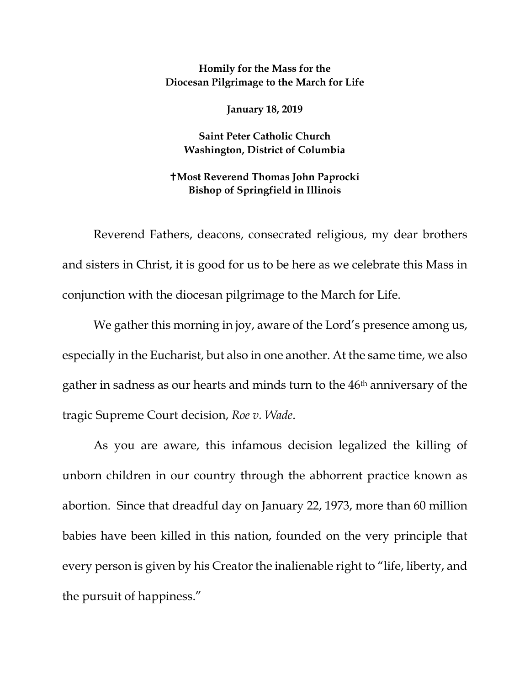## **Homily for the Mass for the Diocesan Pilgrimage to the March for Life**

**January 18, 2019**

**Saint Peter Catholic Church Washington, District of Columbia**

## **Most Reverend Thomas John Paprocki Bishop of Springfield in Illinois**

Reverend Fathers, deacons, consecrated religious, my dear brothers and sisters in Christ, it is good for us to be here as we celebrate this Mass in conjunction with the diocesan pilgrimage to the March for Life.

We gather this morning in joy, aware of the Lord's presence among us, especially in the Eucharist, but also in one another. At the same time, we also gather in sadness as our hearts and minds turn to the 46th anniversary of the tragic Supreme Court decision, *Roe v. Wade*.

As you are aware, this infamous decision legalized the killing of unborn children in our country through the abhorrent practice known as abortion. Since that dreadful day on January 22, 1973, more than 60 million babies have been killed in this nation, founded on the very principle that every person is given by his Creator the inalienable right to "life, liberty, and the pursuit of happiness."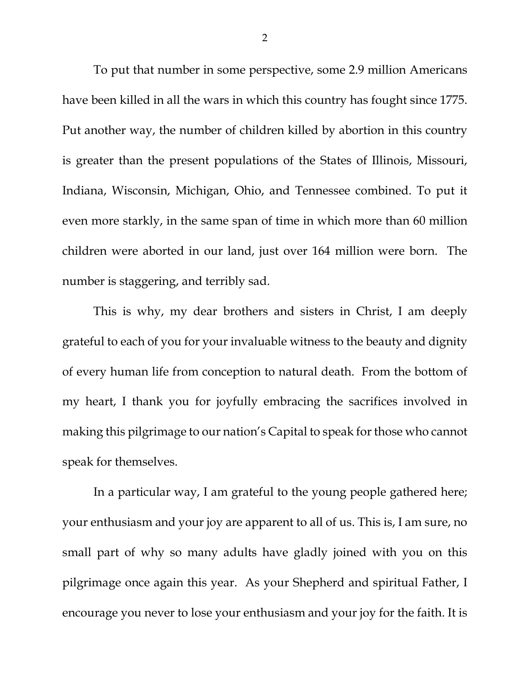To put that number in some perspective, some 2.9 million Americans have been killed in all the wars in which this country has fought since 1775. Put another way, the number of children killed by abortion in this country is greater than the present populations of the States of Illinois, Missouri, Indiana, Wisconsin, Michigan, Ohio, and Tennessee combined. To put it even more starkly, in the same span of time in which more than 60 million children were aborted in our land, just over 164 million were born. The number is staggering, and terribly sad.

This is why, my dear brothers and sisters in Christ, I am deeply grateful to each of you for your invaluable witness to the beauty and dignity of every human life from conception to natural death. From the bottom of my heart, I thank you for joyfully embracing the sacrifices involved in making this pilgrimage to our nation's Capital to speak for those who cannot speak for themselves.

In a particular way, I am grateful to the young people gathered here; your enthusiasm and your joy are apparent to all of us. This is, I am sure, no small part of why so many adults have gladly joined with you on this pilgrimage once again this year. As your Shepherd and spiritual Father, I encourage you never to lose your enthusiasm and your joy for the faith. It is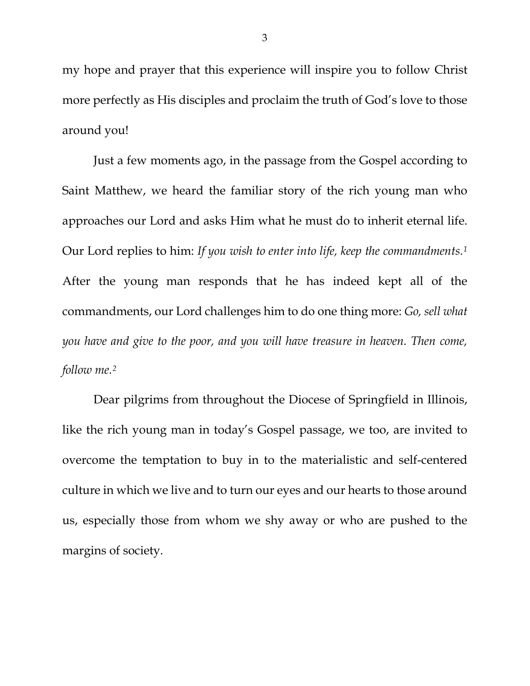my hope and prayer that this experience will inspire you to follow Christ more perfectly as His disciples and proclaim the truth of God's love to those around you!

Just a few moments ago, in the passage from the Gospel according to Saint Matthew, we heard the familiar story of the rich young man who approaches our Lord and asks Him what he must do to inherit eternal life. Our Lord replies to him: *If you wish to enter into life, keep the commandments[.1](#page-2-0)* After the young man responds that he has indeed kept all of the commandments, our Lord challenges him to do one thing more: *Go, sell what you have and give to the poor, and you will have treasure in heaven. Then come, follow me.[2](#page-2-1)*

<span id="page-2-2"></span><span id="page-2-1"></span><span id="page-2-0"></span>Dear pilgrims from throughout the Diocese of Springfield in Illinois, like the rich young man in today's Gospel passage, we too, are invited to overcome the temptation to buy in to the materialistic and self-centered culture in which we live and to turn our eyes and our hearts to those around us, especially those from whom we shy away or who are pushed to the margins of society.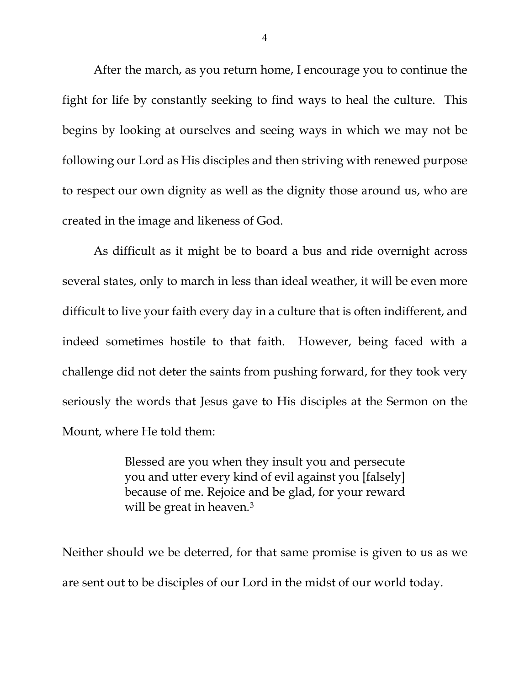After the march, as you return home, I encourage you to continue the fight for life by constantly seeking to find ways to heal the culture. This begins by looking at ourselves and seeing ways in which we may not be following our Lord as His disciples and then striving with renewed purpose to respect our own dignity as well as the dignity those around us, who are created in the image and likeness of God.

As difficult as it might be to board a bus and ride overnight across several states, only to march in less than ideal weather, it will be even more difficult to live your faith every day in a culture that is often indifferent, and indeed sometimes hostile to that faith. However, being faced with a challenge did not deter the saints from pushing forward, for they took very seriously the words that Jesus gave to His disciples at the Sermon on the Mount, where He told them:

> Blessed are you when they insult you and persecute you and utter every kind of evil against you [falsely] because of me. Rejoice and be glad, for your reward will be great in heaven.<sup>[3](#page-2-2)</sup>

Neither should we be deterred, for that same promise is given to us as we are sent out to be disciples of our Lord in the midst of our world today.